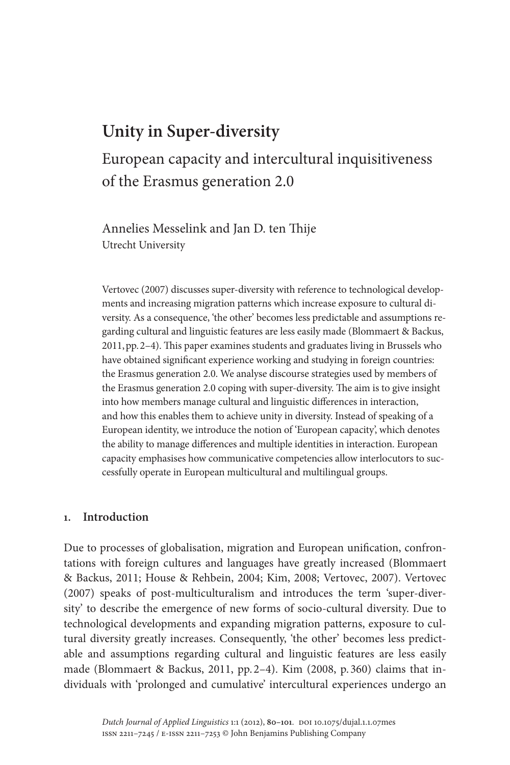# **Unity in Super-diversity**

# European capacity and intercultural inquisitiveness of the Erasmus generation 2.0

Annelies Messelink and Jan D. ten Thije Utrecht University

Vertovec (2007) discusses super-diversity with reference to technological developments and increasing migration patterns which increase exposure to cultural diversity. As a consequence, 'the other' becomes less predictable and assumptions regarding cultural and linguistic features are less easily made (Blommaert & Backus, 2011,pp.2–4). This paper examines students and graduates living in Brussels who have obtained significant experience working and studying in foreign countries: the Erasmus generation 2.0. We analyse discourse strategies used by members of the Erasmus generation 2.0 coping with super-diversity. The aim is to give insight into how members manage cultural and linguistic differences in interaction, and how this enables them to achieve unity in diversity. Instead of speaking of a European identity, we introduce the notion of 'European capacity', which denotes the ability to manage differences and multiple identities in interaction. European capacity emphasises how communicative competencies allow interlocutors to successfully operate in European multicultural and multilingual groups.

# **1. Introduction**

Due to processes of globalisation, migration and European unification, confrontations with foreign cultures and languages have greatly increased (Blommaert & Backus, 2011; House & Rehbein, 2004; Kim, 2008; Vertovec, 2007). Vertovec (2007) speaks of post-multiculturalism and introduces the term 'super-diversity' to describe the emergence of new forms of socio-cultural diversity. Due to technological developments and expanding migration patterns, exposure to cultural diversity greatly increases. Consequently, 'the other' becomes less predictable and assumptions regarding cultural and linguistic features are less easily made (Blommaert & Backus, 2011, pp. 2–4). Kim (2008, p. 360) claims that individuals with 'prolonged and cumulative' intercultural experiences undergo an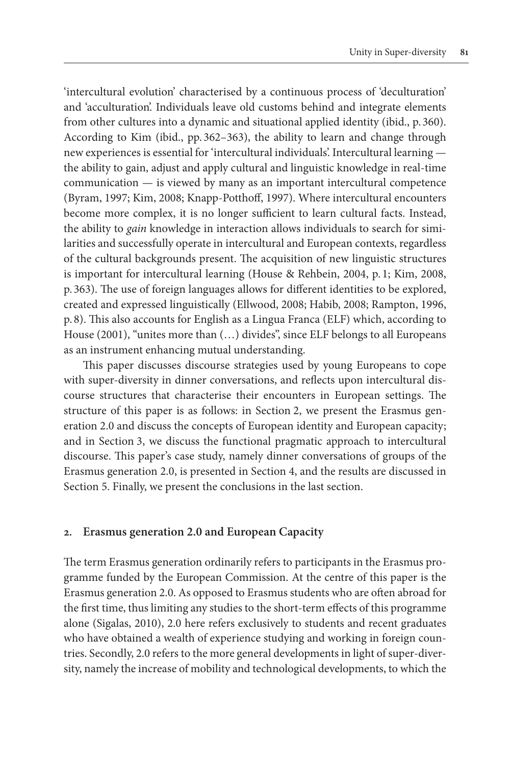'intercultural evolution' characterised by a continuous process of 'deculturation' and 'acculturation'. Individuals leave old customs behind and integrate elements from other cultures into a dynamic and situational applied identity (ibid., p. 360). According to Kim (ibid., pp. 362–363), the ability to learn and change through new experiences is essential for 'intercultural individuals'. Intercultural learning the ability to gain, adjust and apply cultural and linguistic knowledge in real-time communication — is viewed by many as an important intercultural competence (Byram, 1997; Kim, 2008; Knapp-Potthoff, 1997). Where intercultural encounters become more complex, it is no longer sufficient to learn cultural facts. Instead, the ability to *gain* knowledge in interaction allows individuals to search for similarities and successfully operate in intercultural and European contexts, regardless of the cultural backgrounds present. The acquisition of new linguistic structures is important for intercultural learning (House & Rehbein, 2004, p. 1; Kim, 2008, p. 363). The use of foreign languages allows for different identities to be explored, created and expressed linguistically (Ellwood, 2008; Habib, 2008; Rampton, 1996, p. 8). This also accounts for English as a Lingua Franca (ELF) which, according to House (2001), "unites more than (...) divides", since ELF belongs to all Europeans as an instrument enhancing mutual understanding.

This paper discusses discourse strategies used by young Europeans to cope with super-diversity in dinner conversations, and reflects upon intercultural discourse structures that characterise their encounters in European settings. The structure of this paper is as follows: in Section 2, we present the Erasmus generation 2.0 and discuss the concepts of European identity and European capacity; and in Section 3, we discuss the functional pragmatic approach to intercultural discourse. This paper's case study, namely dinner conversations of groups of the Erasmus generation 2.0, is presented in Section 4, and the results are discussed in Section 5. Finally, we present the conclusions in the last section.

## **2. Erasmus generation 2.0 and European Capacity**

The term Erasmus generation ordinarily refers to participants in the Erasmus programme funded by the European Commission. At the centre of this paper is the Erasmus generation 2.0. As opposed to Erasmus students who are often abroad for the first time, thus limiting any studies to the short-term effects of this programme alone (Sigalas, 2010), 2.0 here refers exclusively to students and recent graduates who have obtained a wealth of experience studying and working in foreign countries. Secondly, 2.0 refers to the more general developments in light of super-diversity, namely the increase of mobility and technological developments, to which the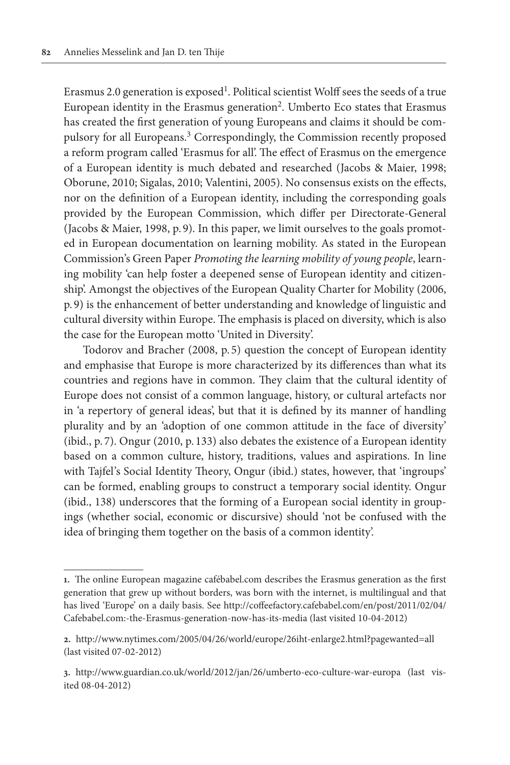Erasmus 2.0 generation is  $exposed<sup>1</sup>$ . Political scientist Wolff sees the seeds of a true European identity in the Erasmus generation<sup>2</sup>. Umberto Eco states that Erasmus has created the first generation of young Europeans and claims it should be compulsory for all Europeans.3 Correspondingly, the Commission recently proposed a reform program called 'Erasmus for all'. The effect of Erasmus on the emergence of a European identity is much debated and researched (Jacobs & Maier, 1998; Oborune, 2010; Sigalas, 2010; Valentini, 2005). No consensus exists on the effects, nor on the definition of a European identity, including the corresponding goals provided by the European Commission, which differ per Directorate-General (Jacobs & Maier, 1998, p. 9). In this paper, we limit ourselves to the goals promoted in European documentation on learning mobility. As stated in the European Commission's Green Paper *Promoting the learning mobility of young people*, learning mobility 'can help foster a deepened sense of European identity and citizenship'. Amongst the objectives of the European Quality Charter for Mobility (2006, p. 9) is the enhancement of better understanding and knowledge of linguistic and cultural diversity within Europe. The emphasis is placed on diversity, which is also the case for the European motto 'United in Diversity'.

Todorov and Bracher (2008, p. 5) question the concept of European identity and emphasise that Europe is more characterized by its differences than what its countries and regions have in common. They claim that the cultural identity of Europe does not consist of a common language, history, or cultural artefacts nor in 'a repertory of general ideas', but that it is defined by its manner of handling plurality and by an 'adoption of one common attitude in the face of diversity' (ibid., p. 7). Ongur (2010, p. 133) also debates the existence of a European identity based on a common culture, history, traditions, values and aspirations. In line with Tajfel's Social Identity Theory, Ongur (ibid.) states, however, that 'ingroups' can be formed, enabling groups to construct a temporary social identity. Ongur (ibid., 138) underscores that the forming of a European social identity in groupings (whether social, economic or discursive) should 'not be confused with the idea of bringing them together on the basis of a common identity'.

**<sup>1.</sup>** The online European magazine cafébabel.com describes the Erasmus generation as the first generation that grew up without borders, was born with the internet, is multilingual and that has lived 'Europe' on a daily basis. See [http://coffeefactory.cafebabel.com/en/post/2011/02/04/](http://coffeefactory.cafebabel.com/en/post/2011/02/04/Cafebabel.com:-the-Erasmus-generation-now-has-its-media) [Cafebabel.com:-the-Erasmus-generation-now-has-its-media](http://coffeefactory.cafebabel.com/en/post/2011/02/04/Cafebabel.com:-the-Erasmus-generation-now-has-its-media) (last visited 10-04-2012)

**<sup>2.</sup>** <http://www.nytimes.com/2005/04/26/world/europe/26iht-enlarge2.html?pagewanted=all> (last visited 07-02-2012)

**<sup>3.</sup>** <http://www.guardian.co.uk/world/2012/jan/26/umberto-eco-culture-war-europa> (last visited 08-04-2012)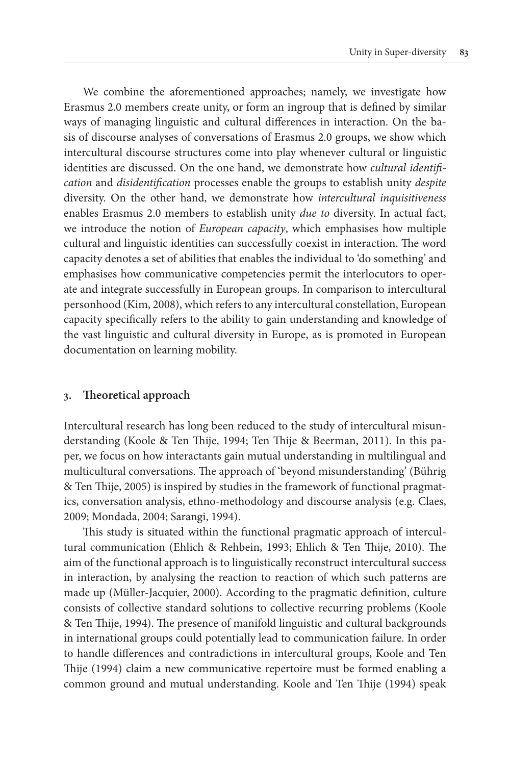We combine the aforementioned approaches; namely, we investigate how Erasmus 2.0 members create unity, or form an ingroup that is defined by similar ways of managing linguistic and cultural differences in interaction. On the basis of discourse analyses of conversations of Erasmus 2.0 groups, we show which intercultural discourse structures come into play whenever cultural or linguistic identities are discussed. On the one hand, we demonstrate how *cultural identification* and *disidentification* processes enable the groups to establish unity *despite* diversity. On the other hand, we demonstrate how *intercultural inquisitiveness* enables Erasmus 2.0 members to establish unity *due to* diversity. In actual fact, we introduce the notion of *European capacity*, which emphasises how multiple cultural and linguistic identities can successfully coexist in interaction. The word capacity denotes a set of abilities that enables the individual to 'do something' and emphasises how communicative competencies permit the interlocutors to operate and integrate successfully in European groups. In comparison to intercultural personhood (Kim, 2008), which refers to any intercultural constellation, European capacity specifically refers to the ability to gain understanding and knowledge of the vast linguistic and cultural diversity in Europe, as is promoted in European documentation on learning mobility.

## **3. Theoretical approach**

Intercultural research has long been reduced to the study of intercultural misunderstanding (Koole & Ten Thije, 1994; Ten Thije & Beerman, 2011). In this paper, we focus on how interactants gain mutual understanding in multilingual and multicultural conversations. The approach of 'beyond misunderstanding' (Bührig & Ten Thije, 2005) is inspired by studies in the framework of functional pragmatics, conversation analysis, ethno-methodology and discourse analysis (e.g. Claes, 2009; Mondada, 2004; Sarangi, 1994).

This study is situated within the functional pragmatic approach of intercultural communication (Ehlich & Rehbein, 1993; Ehlich & Ten Thije, 2010). The aim of the functional approach is to linguistically reconstruct intercultural success in interaction, by analysing the reaction to reaction of which such patterns are made up (Müller-Jacquier, 2000). According to the pragmatic definition, culture consists of collective standard solutions to collective recurring problems (Koole & Ten Thije, 1994). The presence of manifold linguistic and cultural backgrounds in international groups could potentially lead to communication failure. In order to handle differences and contradictions in intercultural groups, Koole and Ten Thije (1994) claim a new communicative repertoire must be formed enabling a common ground and mutual understanding. Koole and Ten Thije (1994) speak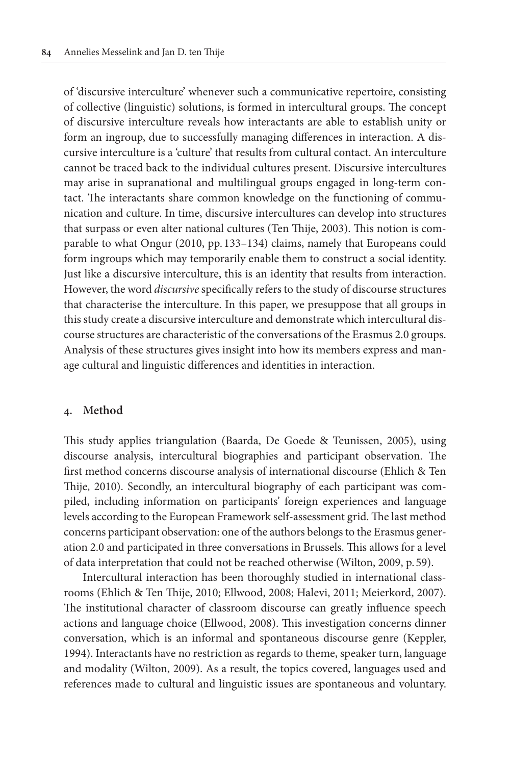of 'discursive interculture' whenever such a communicative repertoire, consisting of collective (linguistic) solutions, is formed in intercultural groups. The concept of discursive interculture reveals how interactants are able to establish unity or form an ingroup, due to successfully managing differences in interaction. A discursive interculture is a 'culture' that results from cultural contact. An interculture cannot be traced back to the individual cultures present. Discursive intercultures may arise in supranational and multilingual groups engaged in long-term contact. The interactants share common knowledge on the functioning of communication and culture. In time, discursive intercultures can develop into structures that surpass or even alter national cultures (Ten Thije, 2003). This notion is comparable to what Ongur (2010, pp. 133–134) claims, namely that Europeans could form ingroups which may temporarily enable them to construct a social identity. Just like a discursive interculture, this is an identity that results from interaction. However, the word *discursive* specifically refers to the study of discourse structures that characterise the interculture. In this paper, we presuppose that all groups in this study create a discursive interculture and demonstrate which intercultural discourse structures are characteristic of the conversations of the Erasmus 2.0 groups. Analysis of these structures gives insight into how its members express and manage cultural and linguistic differences and identities in interaction.

## **4. Method**

This study applies triangulation (Baarda, De Goede & Teunissen, 2005), using discourse analysis, intercultural biographies and participant observation. The first method concerns discourse analysis of international discourse (Ehlich & Ten Thije, 2010). Secondly, an intercultural biography of each participant was compiled, including information on participants' foreign experiences and language levels according to the European Framework self-assessment grid. The last method concerns participant observation: one of the authors belongs to the Erasmus generation 2.0 and participated in three conversations in Brussels. This allows for a level of data interpretation that could not be reached otherwise (Wilton, 2009, p.59).

Intercultural interaction has been thoroughly studied in international classrooms (Ehlich & Ten Thije, 2010; Ellwood, 2008; Halevi, 2011; Meierkord, 2007). The institutional character of classroom discourse can greatly influence speech actions and language choice (Ellwood, 2008). This investigation concerns dinner conversation, which is an informal and spontaneous discourse genre (Keppler, 1994). Interactants have no restriction as regards to theme, speaker turn, language and modality (Wilton, 2009). As a result, the topics covered, languages used and references made to cultural and linguistic issues are spontaneous and voluntary.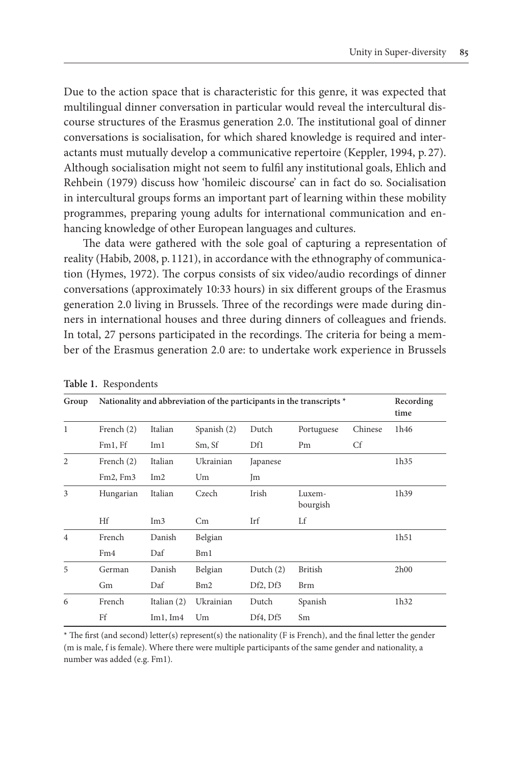Due to the action space that is characteristic for this genre, it was expected that multilingual dinner conversation in particular would reveal the intercultural discourse structures of the Erasmus generation 2.0. The institutional goal of dinner conversations is socialisation, for which shared knowledge is required and interactants must mutually develop a communicative repertoire (Keppler, 1994, p. 27). Although socialisation might not seem to fulfil any institutional goals, Ehlich and Rehbein (1979) discuss how 'homileic discourse' can in fact do so. Socialisation in intercultural groups forms an important part of learning within these mobility programmes, preparing young adults for international communication and enhancing knowledge of other European languages and cultures.

The data were gathered with the sole goal of capturing a representation of reality (Habib, 2008, p. 1121), in accordance with the ethnography of communication (Hymes, 1972). The corpus consists of six video/audio recordings of dinner conversations (approximately 10:33 hours) in six different groups of the Erasmus generation 2.0 living in Brussels. Three of the recordings were made during dinners in international houses and three during dinners of colleagues and friends. In total, 27 persons participated in the recordings. The criteria for being a member of the Erasmus generation 2.0 are: to undertake work experience in Brussels

| Group          |                 | Nationality and abbreviation of the participants in the transcripts * |             |             |                    |         |      |  |
|----------------|-----------------|-----------------------------------------------------------------------|-------------|-------------|--------------------|---------|------|--|
| 1              | French (2)      | Italian                                                               | Spanish (2) | Dutch       | Portuguese         | Chinese | 1h46 |  |
|                | Fm1, Ff         | Im1                                                                   | Sm, Sf      | Df1         | Pm                 | Cf      |      |  |
| $\overline{2}$ | French $(2)$    | Italian                                                               | Ukrainian   | Japanese    |                    |         | 1h35 |  |
|                | Fm2, Fm3        | Im2                                                                   | Um          | Jm          |                    |         |      |  |
| 3              | Hungarian       | Italian                                                               | Czech       | Irish       | Luxem-<br>bourgish |         | 1h39 |  |
|                | Hf              | Im3                                                                   | Cm          | Irf         | Lf                 |         |      |  |
| $\overline{4}$ | French          | Danish                                                                | Belgian     |             |                    |         | 1h51 |  |
|                | Fm <sub>4</sub> | Daf                                                                   | Bm1         |             |                    |         |      |  |
| 5              | German          | Danish                                                                | Belgian     | Dutch $(2)$ | <b>British</b>     |         | 2h00 |  |
|                | Gm              | Daf                                                                   | Bm2         | Df2, Df3    | <b>Brm</b>         |         |      |  |
| 6              | French          | Italian (2)                                                           | Ukrainian   | Dutch       | Spanish            |         | 1h32 |  |
|                | Ff              | Im1, Im4                                                              | Um          | Df4, Df5    | Sm                 |         |      |  |

**Table 1.** Respondents

\* The first (and second) letter(s) represent(s) the nationality (F is French), and the final letter the gender (m is male, f is female). Where there were multiple participants of the same gender and nationality, a number was added (e.g. Fm1).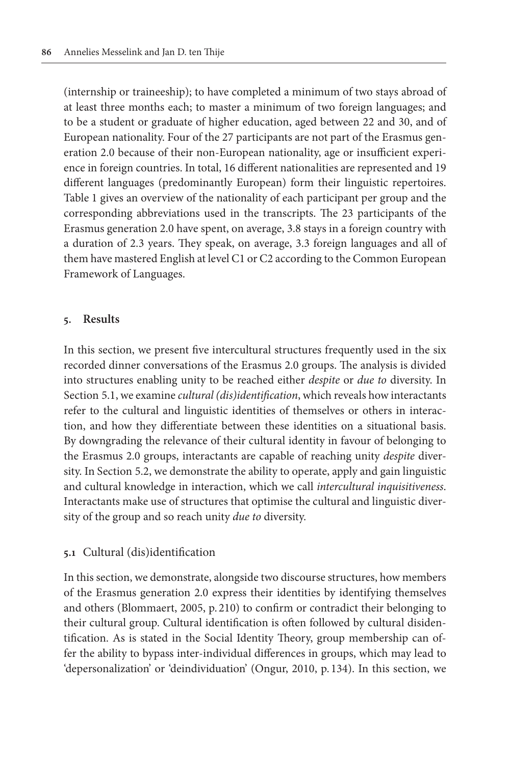(internship or traineeship); to have completed a minimum of two stays abroad of at least three months each; to master a minimum of two foreign languages; and to be a student or graduate of higher education, aged between 22 and 30, and of European nationality. Four of the 27 participants are not part of the Erasmus generation 2.0 because of their non-European nationality, age or insufficient experience in foreign countries. In total, 16 different nationalities are represented and 19 different languages (predominantly European) form their linguistic repertoires. Table 1 gives an overview of the nationality of each participant per group and the corresponding abbreviations used in the transcripts. The 23 participants of the Erasmus generation 2.0 have spent, on average, 3.8 stays in a foreign country with a duration of 2.3 years. They speak, on average, 3.3 foreign languages and all of them have mastered English at level C1 or C2 according to the Common European Framework of Languages.

# **5. Results**

In this section, we present five intercultural structures frequently used in the six recorded dinner conversations of the Erasmus 2.0 groups. The analysis is divided into structures enabling unity to be reached either *despite* or *due to* diversity. In Section 5.1, we examine *cultural (dis)identification*, which reveals how interactants refer to the cultural and linguistic identities of themselves or others in interaction, and how they differentiate between these identities on a situational basis. By downgrading the relevance of their cultural identity in favour of belonging to the Erasmus 2.0 groups, interactants are capable of reaching unity *despite* diversity. In Section 5.2, we demonstrate the ability to operate, apply and gain linguistic and cultural knowledge in interaction, which we call *intercultural inquisitiveness*. Interactants make use of structures that optimise the cultural and linguistic diversity of the group and so reach unity *due to* diversity.

# **5.1** Cultural (dis)identification

In this section, we demonstrate, alongside two discourse structures, how members of the Erasmus generation 2.0 express their identities by identifying themselves and others (Blommaert, 2005, p. 210) to confirm or contradict their belonging to their cultural group. Cultural identification is often followed by cultural disidentification. As is stated in the Social Identity Theory, group membership can offer the ability to bypass inter-individual differences in groups, which may lead to 'depersonalization' or 'deindividuation' (Ongur, 2010, p. 134). In this section, we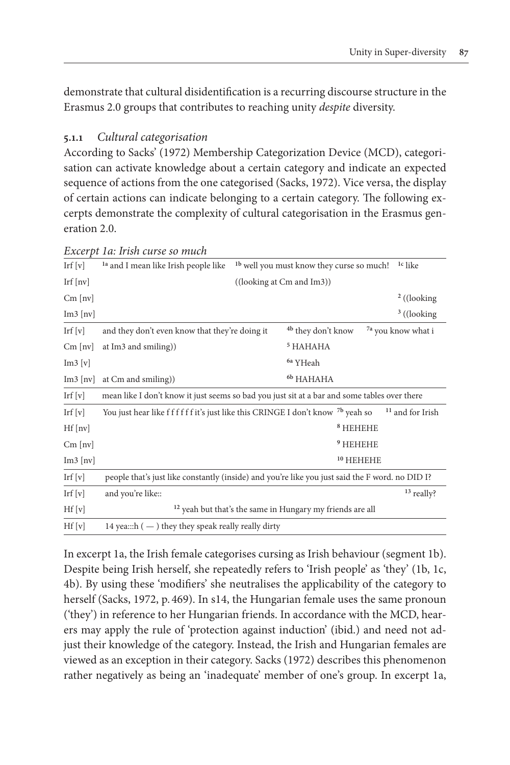demonstrate that cultural disidentification is a recurring discourse structure in the Erasmus 2.0 groups that contributes to reaching unity *despite* diversity.

# **5.1.1** *Cultural categorisation*

According to Sacks' (1972) Membership Categorization Device (MCD), categorisation can activate knowledge about a certain category and indicate an expected sequence of actions from the one categorised (Sacks, 1972). Vice versa, the display of certain actions can indicate belonging to a certain category. The following excerpts demonstrate the complexity of cultural categorisation in the Erasmus generation 2.0.

| Irf $[v]$                  | <sup>1b</sup> well you must know they curse so much!<br><sup>1a</sup> and I mean like Irish people like<br><sup>1c</sup> like |  |                                                                      |                               |  |  |
|----------------------------|-------------------------------------------------------------------------------------------------------------------------------|--|----------------------------------------------------------------------|-------------------------------|--|--|
| Irf $[nv]$                 | ((looking at Cm and Im3))                                                                                                     |  |                                                                      |                               |  |  |
| $Cm$ [ $nv$ ]              |                                                                                                                               |  |                                                                      | $2$ ((looking)                |  |  |
| $Im3$ [nv]                 |                                                                                                                               |  |                                                                      | $3$ ((looking)                |  |  |
| Irf $[v]$                  | and they don't even know that they're doing it                                                                                |  | <sup>4b</sup> they don't know                                        | <sup>7a</sup> you know what i |  |  |
| $Cm$ [nv]                  | at Im <sub>3</sub> and smiling))                                                                                              |  | <sup>5</sup> HAHAHA                                                  |                               |  |  |
| Im3[v]                     |                                                                                                                               |  | <sup>6a</sup> YHeah                                                  |                               |  |  |
| $Im3$ [nv]                 | at Cm and smiling))                                                                                                           |  | 6b HAHAHA                                                            |                               |  |  |
| $\operatorname{Irf}$ $[v]$ | mean like I don't know it just seems so bad you just sit at a bar and some tables over there                                  |  |                                                                      |                               |  |  |
| Irf $[v]$                  | You just hear like f f f f f f it's just like this CRINGE I don't know <sup>7b</sup> yeah so                                  |  |                                                                      | <sup>11</sup> and for Irish   |  |  |
| $Hf$ [nv]                  |                                                                                                                               |  | $8$ HEHEHE                                                           |                               |  |  |
| $Cm$ [nv]                  |                                                                                                                               |  | <sup>9</sup> HEHEHE                                                  |                               |  |  |
| $Im3$ [nv]                 |                                                                                                                               |  | $10$ HEHEHE                                                          |                               |  |  |
| $\operatorname{Irf}$ $[v]$ | people that's just like constantly (inside) and you're like you just said the F word. no DID I?                               |  |                                                                      |                               |  |  |
| Irf $[v]$                  | and you're like::                                                                                                             |  |                                                                      | <sup>13</sup> really?         |  |  |
| Hf[v]                      |                                                                                                                               |  | <sup>12</sup> yeah but that's the same in Hungary my friends are all |                               |  |  |
| Hf[v]                      | 14 yea::: $h$ ( $-$ ) they they speak really really dirty                                                                     |  |                                                                      |                               |  |  |
|                            |                                                                                                                               |  |                                                                      |                               |  |  |

*Excerpt 1a: Irish curse so much*

In excerpt 1a, the Irish female categorises cursing as Irish behaviour (segment 1b). Despite being Irish herself, she repeatedly refers to 'Irish people' as 'they' (1b, 1c, 4b). By using these 'modifiers' she neutralises the applicability of the category to herself (Sacks, 1972, p. 469). In s14, the Hungarian female uses the same pronoun ('they') in reference to her Hungarian friends. In accordance with the MCD, hearers may apply the rule of 'protection against induction' (ibid.) and need not adjust their knowledge of the category. Instead, the Irish and Hungarian females are viewed as an exception in their category. Sacks (1972) describes this phenomenon rather negatively as being an 'inadequate' member of one's group. In excerpt 1a,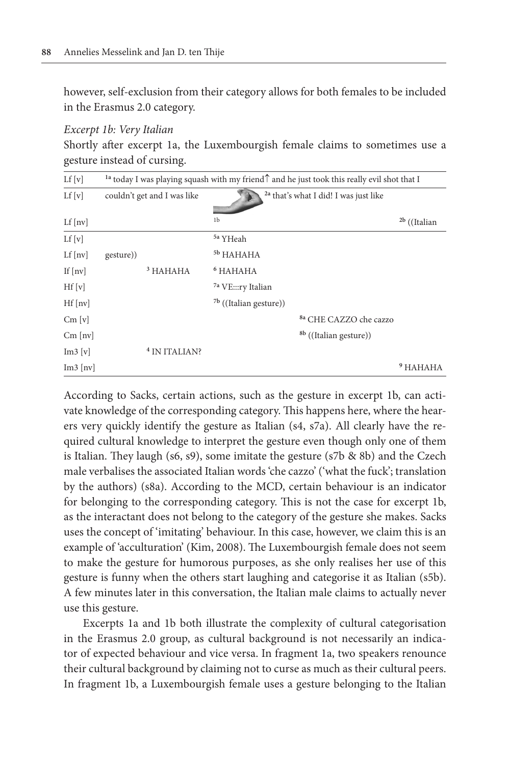however, self-exclusion from their category allows for both females to be included in the Erasmus 2.0 category.

#### *Excerpt 1b: Very Italian*

Shortly after excerpt 1a, the Luxembourgish female claims to sometimes use a gesture instead of cursing.

| Lf[v]                 | <sup>1a</sup> today I was playing squash with my friend $\uparrow$ and he just took this really evil shot that I |                             |                               |                                                  |                     |  |
|-----------------------|------------------------------------------------------------------------------------------------------------------|-----------------------------|-------------------------------|--------------------------------------------------|---------------------|--|
| Lf[v]                 |                                                                                                                  | couldn't get and I was like |                               | <sup>2a</sup> that's what I did! I was just like |                     |  |
| Lf[nv]                |                                                                                                                  |                             | 1 <sub>b</sub>                |                                                  | $^{2b}$ ((Italian   |  |
| Lf[v]                 |                                                                                                                  |                             | <sup>5a</sup> YHeah           |                                                  |                     |  |
| Lf[nv]                | gesture))                                                                                                        |                             | <sup>5b</sup> HAHAHA          |                                                  |                     |  |
| If $\lceil nv \rceil$ |                                                                                                                  | <sup>3</sup> HAHAHA         | <sup>6</sup> HAHAHA           |                                                  |                     |  |
| Hf[v]                 |                                                                                                                  |                             | <sup>7a</sup> VE:::ry Italian |                                                  |                     |  |
| $Hf$ [nv]             |                                                                                                                  |                             | $7b$ ((Italian gesture))      |                                                  |                     |  |
| Cm[v]                 |                                                                                                                  |                             |                               | <sup>8a</sup> CHE CAZZO che cazzo                |                     |  |
| $Cm$ [nv]             |                                                                                                                  |                             |                               | <sup>8b</sup> ((Italian gesture))                |                     |  |
| Im3 [v]               |                                                                                                                  | <sup>4</sup> IN ITALIAN?    |                               |                                                  |                     |  |
| $Im3$ [nv]            |                                                                                                                  |                             |                               |                                                  | <sup>9</sup> HAHAHA |  |

According to Sacks, certain actions, such as the gesture in excerpt 1b, can activate knowledge of the corresponding category. This happens here, where the hearers very quickly identify the gesture as Italian (s4, s7a). All clearly have the required cultural knowledge to interpret the gesture even though only one of them is Italian. They laugh (s6, s9), some imitate the gesture (s7b & 8b) and the Czech male verbalises the associated Italian words 'che cazzo' ('what the fuck'; translation by the authors) (s8a). According to the MCD, certain behaviour is an indicator for belonging to the corresponding category. This is not the case for excerpt 1b, as the interactant does not belong to the category of the gesture she makes. Sacks uses the concept of 'imitating' behaviour. In this case, however, we claim this is an example of 'acculturation' (Kim, 2008). The Luxembourgish female does not seem to make the gesture for humorous purposes, as she only realises her use of this gesture is funny when the others start laughing and categorise it as Italian (s5b). A few minutes later in this conversation, the Italian male claims to actually never use this gesture.

Excerpts 1a and 1b both illustrate the complexity of cultural categorisation in the Erasmus 2.0 group, as cultural background is not necessarily an indicator of expected behaviour and vice versa. In fragment 1a, two speakers renounce their cultural background by claiming not to curse as much as their cultural peers. In fragment 1b, a Luxembourgish female uses a gesture belonging to the Italian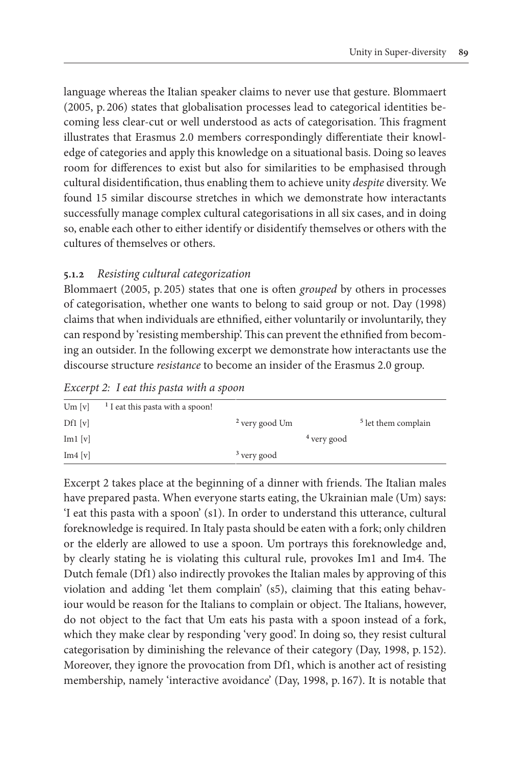language whereas the Italian speaker claims to never use that gesture. Blommaert (2005, p. 206) states that globalisation processes lead to categorical identities becoming less clear-cut or well understood as acts of categorisation. This fragment illustrates that Erasmus 2.0 members correspondingly differentiate their knowledge of categories and apply this knowledge on a situational basis. Doing so leaves room for differences to exist but also for similarities to be emphasised through cultural disidentification, thus enabling them to achieve unity *despite* diversity. We found 15 similar discourse stretches in which we demonstrate how interactants successfully manage complex cultural categorisations in all six cases, and in doing so, enable each other to either identify or disidentify themselves or others with the cultures of themselves or others.

# **5.1.2** *Resisting cultural categorization*

Blommaert (2005, p. 205) states that one is often *grouped* by others in processes of categorisation, whether one wants to belong to said group or not. Day (1998) claims that when individuals are ethnified, either voluntarily or involuntarily, they can respond by 'resisting membership'. This can prevent the ethnified from becoming an outsider. In the following excerpt we demonstrate how interactants use the discourse structure *resistance* to become an insider of the Erasmus 2.0 group.

| Excerpt 2: I eat this pasta with a spoon                                                                                                                                                                                      |
|-------------------------------------------------------------------------------------------------------------------------------------------------------------------------------------------------------------------------------|
| The first of the contribution of the contribution of the state of the state of the state of the state of the state of the state of the state of the state of the state of the state of the state of the state of the state of |

|                               | Um $[v]$ <sup>1</sup> I eat this pasta with a spoon! |                           |                        |                                |
|-------------------------------|------------------------------------------------------|---------------------------|------------------------|--------------------------------|
| Df1[v]                        |                                                      | <sup>2</sup> very good Um |                        | <sup>5</sup> let them complain |
| $\text{Im}1$ $\left[v\right]$ |                                                      |                           | <sup>4</sup> very good |                                |
| Im4 [v]                       |                                                      | $3$ very good             |                        |                                |
|                               |                                                      |                           |                        |                                |

Excerpt 2 takes place at the beginning of a dinner with friends. The Italian males have prepared pasta. When everyone starts eating, the Ukrainian male (Um) says: 'I eat this pasta with a spoon' (s1). In order to understand this utterance, cultural foreknowledge is required. In Italy pasta should be eaten with a fork; only children or the elderly are allowed to use a spoon. Um portrays this foreknowledge and, by clearly stating he is violating this cultural rule, provokes Im1 and Im4. The Dutch female (Df1) also indirectly provokes the Italian males by approving of this violation and adding 'let them complain' (s5), claiming that this eating behaviour would be reason for the Italians to complain or object. The Italians, however, do not object to the fact that Um eats his pasta with a spoon instead of a fork, which they make clear by responding 'very good'. In doing so, they resist cultural categorisation by diminishing the relevance of their category (Day, 1998, p. 152). Moreover, they ignore the provocation from Df1, which is another act of resisting membership, namely 'interactive avoidance' (Day, 1998, p. 167). It is notable that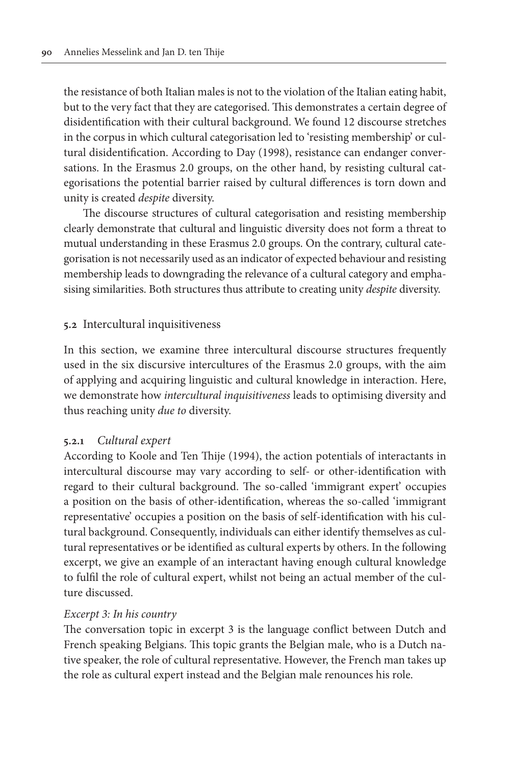the resistance of both Italian males is not to the violation of the Italian eating habit, but to the very fact that they are categorised. This demonstrates a certain degree of disidentification with their cultural background. We found 12 discourse stretches in the corpus in which cultural categorisation led to 'resisting membership' or cultural disidentification. According to Day (1998), resistance can endanger conversations. In the Erasmus 2.0 groups, on the other hand, by resisting cultural categorisations the potential barrier raised by cultural differences is torn down and unity is created *despite* diversity.

The discourse structures of cultural categorisation and resisting membership clearly demonstrate that cultural and linguistic diversity does not form a threat to mutual understanding in these Erasmus 2.0 groups. On the contrary, cultural categorisation is not necessarily used as an indicator of expected behaviour and resisting membership leads to downgrading the relevance of a cultural category and emphasising similarities. Both structures thus attribute to creating unity *despite* diversity.

# **5.2** Intercultural inquisitiveness

In this section, we examine three intercultural discourse structures frequently used in the six discursive intercultures of the Erasmus 2.0 groups, with the aim of applying and acquiring linguistic and cultural knowledge in interaction. Here, we demonstrate how *intercultural inquisitiveness* leads to optimising diversity and thus reaching unity *due to* diversity.

## **5.2.1** *Cultural expert*

According to Koole and Ten Thije (1994), the action potentials of interactants in intercultural discourse may vary according to self- or other-identification with regard to their cultural background. The so-called 'immigrant expert' occupies a position on the basis of other-identification, whereas the so-called 'immigrant representative' occupies a position on the basis of self-identification with his cultural background. Consequently, individuals can either identify themselves as cultural representatives or be identified as cultural experts by others. In the following excerpt, we give an example of an interactant having enough cultural knowledge to fulfil the role of cultural expert, whilst not being an actual member of the culture discussed.

# *Excerpt 3: In his country*

The conversation topic in excerpt 3 is the language conflict between Dutch and French speaking Belgians. This topic grants the Belgian male, who is a Dutch native speaker, the role of cultural representative. However, the French man takes up the role as cultural expert instead and the Belgian male renounces his role.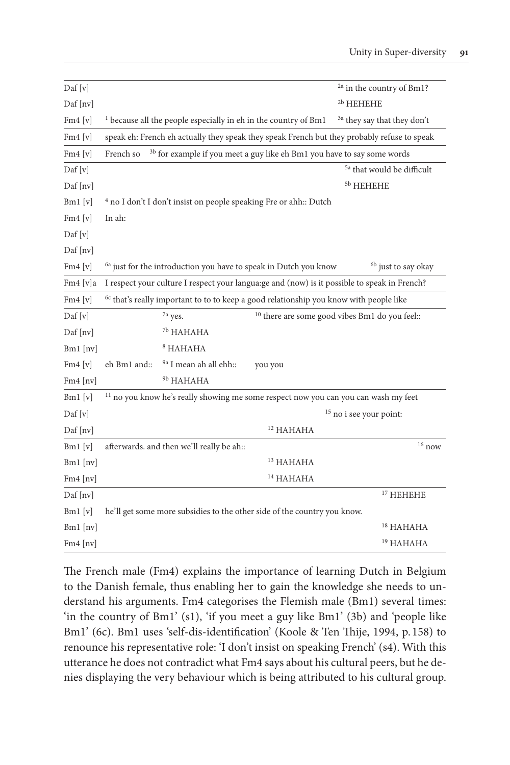| $\text{Daf}[v]$                       |              |                                                                                                   |                      | <sup>2a</sup> in the country of Bm1?                                                          |
|---------------------------------------|--------------|---------------------------------------------------------------------------------------------------|----------------------|-----------------------------------------------------------------------------------------------|
| $\text{Daf}$ [nv]                     |              |                                                                                                   |                      | <sup>2b</sup> HEHEHE                                                                          |
| Fm4[v]                                |              | <sup>1</sup> because all the people especially in eh in the country of Bm1                        |                      | <sup>3a</sup> they say that they don't                                                        |
| Fm4[v]                                |              |                                                                                                   |                      | speak eh: French eh actually they speak they speak French but they probably refuse to speak   |
| Fm4[v]                                | French so    | <sup>3b</sup> for example if you meet a guy like eh Bm1 you have to say some words                |                      |                                                                                               |
| Daf [v]                               |              |                                                                                                   |                      | <sup>5a</sup> that would be difficult                                                         |
| Daf [nv]                              |              |                                                                                                   |                      | <sup>5b</sup> HEHEHE                                                                          |
| $Bm1$ [v]                             |              | <sup>4</sup> no I don't I don't insist on people speaking Fre or ahh:: Dutch                      |                      |                                                                                               |
| Fm4[v]                                | In ah:       |                                                                                                   |                      |                                                                                               |
| $\text{Daf}[v]$                       |              |                                                                                                   |                      |                                                                                               |
| $\text{Daf}$ [nv]                     |              |                                                                                                   |                      |                                                                                               |
| Fm4[v]                                |              | <sup>6a</sup> just for the introduction you have to speak in Dutch you know                       |                      | <sup>6b</sup> just to say okay                                                                |
| $Fm4$ [v]a                            |              |                                                                                                   |                      | I respect your culture I respect your langua: ge and (now) is it possible to speak in French? |
| Fm4[v]                                |              | <sup>6c</sup> that's really important to to to keep a good relationship you know with people like |                      |                                                                                               |
| $\mathrm{Daf}\left[\mathrm{v}\right]$ |              | <sup>7a</sup> yes.                                                                                |                      | <sup>10</sup> there are some good vibes Bm1 do you feel::                                     |
| $\text{Daf}$ [nv]                     |              | <sup>7b</sup> HAHAHA                                                                              |                      |                                                                                               |
| $Bm1$ [nv]                            |              | $8$ HAHAHA                                                                                        |                      |                                                                                               |
| Fm4[v]                                | eh Bm1 and:: | <sup>9a</sup> I mean ah all ehh::                                                                 | you you              |                                                                                               |
| $Fm4$ [nv]                            |              | <sup>9b</sup> HAHAHA                                                                              |                      |                                                                                               |
| $Bm1$ [v]                             |              | <sup>11</sup> no you know he's really showing me some respect now you can you can wash my feet    |                      |                                                                                               |
| $\text{Daf}[v]$                       |              |                                                                                                   |                      | <sup>15</sup> no i see your point:                                                            |
| Daf [nv]                              |              |                                                                                                   | <sup>12</sup> HAHAHA |                                                                                               |
| $Bm1$ [v]                             |              | afterwards. and then we'll really be ah::                                                         |                      | $16$ now                                                                                      |
| $Bm1$ [nv]                            |              |                                                                                                   | $13$ HAHAHA          |                                                                                               |
| Fm4 [nv]                              |              |                                                                                                   | <sup>14</sup> HAHAHA |                                                                                               |
| $\text{Daf}$ [nv]                     |              |                                                                                                   |                      | $17$ HEHEHE                                                                                   |
| Bml[v]                                |              | he'll get some more subsidies to the other side of the country you know.                          |                      |                                                                                               |
| $Bm1$ [nv]                            |              |                                                                                                   |                      | <sup>18</sup> HAHAHA                                                                          |
| Fm4 [nv]                              |              |                                                                                                   |                      | <sup>19</sup> HAHAHA                                                                          |

The French male (Fm4) explains the importance of learning Dutch in Belgium to the Danish female, thus enabling her to gain the knowledge she needs to understand his arguments. Fm4 categorises the Flemish male (Bm1) several times: 'in the country of Bm1' (s1), 'if you meet a guy like Bm1' (3b) and 'people like Bm1' (6c). Bm1 uses 'self-dis-identification' (Koole & Ten Thije, 1994, p. 158) to renounce his representative role: 'I don't insist on speaking French' (s4). With this utterance he does not contradict what Fm4 says about his cultural peers, but he denies displaying the very behaviour which is being attributed to his cultural group.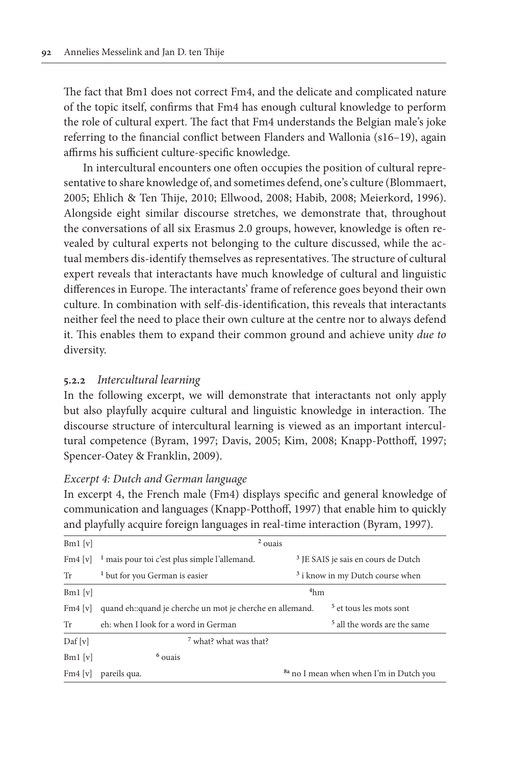The fact that Bm1 does not correct Fm4, and the delicate and complicated nature of the topic itself, confirms that Fm4 has enough cultural knowledge to perform the role of cultural expert. The fact that Fm4 understands the Belgian male's joke referring to the financial conflict between Flanders and Wallonia (s16–19), again affirms his sufficient culture-specific knowledge.

In intercultural encounters one often occupies the position of cultural representative to share knowledge of, and sometimes defend, one's culture (Blommaert, 2005; Ehlich & Ten Thije, 2010; Ellwood, 2008; Habib, 2008; Meierkord, 1996). Alongside eight similar discourse stretches, we demonstrate that, throughout the conversations of all six Erasmus 2.0 groups, however, knowledge is often revealed by cultural experts not belonging to the culture discussed, while the actual members dis-identify themselves as representatives. The structure of cultural expert reveals that interactants have much knowledge of cultural and linguistic differences in Europe. The interactants' frame of reference goes beyond their own culture. In combination with self-dis-identification, this reveals that interactants neither feel the need to place their own culture at the centre nor to always defend it. This enables them to expand their common ground and achieve unity *due to* diversity.

# **5.2.2** *Intercultural learning*

In the following excerpt, we will demonstrate that interactants not only apply but also playfully acquire cultural and linguistic knowledge in interaction. The discourse structure of intercultural learning is viewed as an important intercultural competence (Byram, 1997; Davis, 2005; Kim, 2008; Knapp-Potthoff, 1997; Spencer-Oatey & Franklin, 2009).

#### *Excerpt 4: Dutch and German language*

In excerpt 4, the French male (Fm4) displays specific and general knowledge of communication and languages (Knapp-Potthoff, 1997) that enable him to quickly and playfully acquire foreign languages in real-time interaction (Byram, 1997).

| $Bm1$ [v]       | $2$ ouais                                                 |                 |                                                    |  |  |
|-----------------|-----------------------------------------------------------|-----------------|----------------------------------------------------|--|--|
| $Fm4$ [v]       | <sup>1</sup> mais pour toi c'est plus simple l'allemand.  |                 | <sup>3</sup> JE SAIS je sais en cours de Dutch     |  |  |
| Tr              | <sup>1</sup> but for you German is easier                 |                 | <sup>3</sup> i know in my Dutch course when        |  |  |
| $Bm1$ [v]       |                                                           | 4 <sub>hm</sub> |                                                    |  |  |
| $Fm4$ [v]       | quand eh::quand je cherche un mot je cherche en allemand. |                 | <sup>5</sup> et tous les mots sont                 |  |  |
| Tr              | eh: when I look for a word in German                      |                 | <sup>5</sup> all the words are the same            |  |  |
| $\text{Daf}[v]$ | <sup>7</sup> what? what was that?                         |                 |                                                    |  |  |
| $Bm1$ [v]       | $6$ ouais                                                 |                 |                                                    |  |  |
| Fm4[v]          | pareils qua.                                              |                 | <sup>8a</sup> no I mean when when I'm in Dutch you |  |  |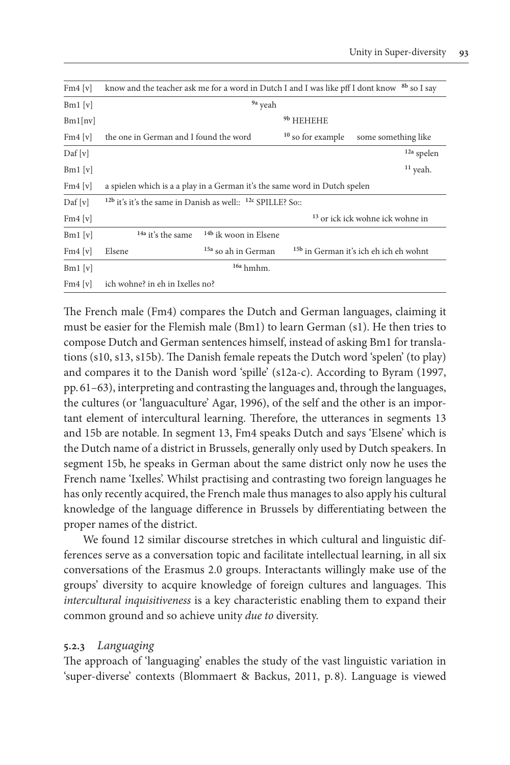| $Fm4$ [v]       | know and the teacher ask me for a word in Dutch I and I was like pff I dont know <sup>8b</sup> so I say |                                  |                     |                                                   |  |  |  |
|-----------------|---------------------------------------------------------------------------------------------------------|----------------------------------|---------------------|---------------------------------------------------|--|--|--|
| $Bm1$ [v]       | <sup>9a</sup> yeah                                                                                      |                                  |                     |                                                   |  |  |  |
| Bm1[nv]         |                                                                                                         |                                  | 9b HEHEHE           |                                                   |  |  |  |
| $Fm4$ [v]       | the one in German and I found the word                                                                  |                                  | $10$ so for example | some something like                               |  |  |  |
| $\text{Daf}[v]$ |                                                                                                         |                                  |                     | <sup>12a</sup> spelen                             |  |  |  |
| $Bm1$ [v]       |                                                                                                         |                                  |                     | $11$ yeah.                                        |  |  |  |
| Fm4[v]          | a spielen which is a a play in a German it's the same word in Dutch spelen                              |                                  |                     |                                                   |  |  |  |
| $\text{Daf}[v]$ | <sup>12b</sup> it's it's the same in Danish as well:: <sup>12c</sup> SPILLE? So::                       |                                  |                     |                                                   |  |  |  |
| Fm4[v]          |                                                                                                         |                                  |                     | <sup>13</sup> or ick ick wohne ick wohne in       |  |  |  |
| $Bm1$ [v]       | <sup>14a</sup> it's the same                                                                            | <sup>14b</sup> ik woon in Elsene |                     |                                                   |  |  |  |
| Fm4[v]          | Elsene                                                                                                  | <sup>15a</sup> so ah in German   |                     | <sup>15b</sup> in German it's ich eh ich eh wohnt |  |  |  |
| $Bm1$ [v]       |                                                                                                         | <sup>16a</sup> hmhm.             |                     |                                                   |  |  |  |
| Fm4[v]          | ich wohne? in eh in Ixelles no?                                                                         |                                  |                     |                                                   |  |  |  |

The French male (Fm4) compares the Dutch and German languages, claiming it must be easier for the Flemish male (Bm1) to learn German (s1). He then tries to compose Dutch and German sentences himself, instead of asking Bm1 for translations (s10, s13, s15b). The Danish female repeats the Dutch word 'spelen' (to play) and compares it to the Danish word 'spille' (s12a-c). According to Byram (1997, pp. 61–63), interpreting and contrasting the languages and, through the languages, the cultures (or 'languaculture' Agar, 1996), of the self and the other is an important element of intercultural learning. Therefore, the utterances in segments 13 and 15b are notable. In segment 13, Fm4 speaks Dutch and says 'Elsene' which is the Dutch name of a district in Brussels, generally only used by Dutch speakers. In segment 15b, he speaks in German about the same district only now he uses the French name 'Ixelles'. Whilst practising and contrasting two foreign languages he has only recently acquired, the French male thus manages to also apply his cultural knowledge of the language difference in Brussels by differentiating between the proper names of the district.

We found 12 similar discourse stretches in which cultural and linguistic differences serve as a conversation topic and facilitate intellectual learning, in all six conversations of the Erasmus 2.0 groups. Interactants willingly make use of the groups' diversity to acquire knowledge of foreign cultures and languages. This *intercultural inquisitiveness* is a key characteristic enabling them to expand their common ground and so achieve unity *due to* diversity.

# **5.2.3** *Languaging*

The approach of 'languaging' enables the study of the vast linguistic variation in 'super-diverse' contexts (Blommaert & Backus, 2011, p. 8). Language is viewed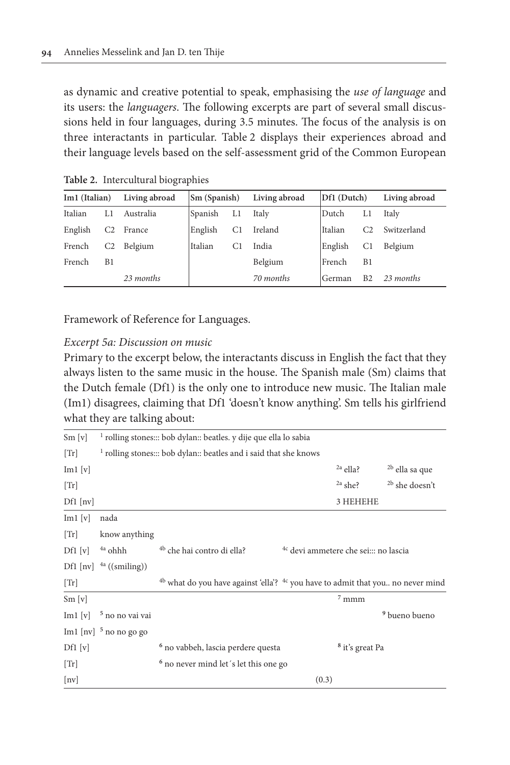as dynamic and creative potential to speak, emphasising the *use of language* and its users: the *languagers*. The following excerpts are part of several small discussions held in four languages, during 3.5 minutes. The focus of the analysis is on three interactants in particular. Table 2 displays their experiences abroad and their language levels based on the self-assessment grid of the Common European

| Im1 (Italian) |                | Living abroad | Sm (Spanish) |                | Living abroad | Df1 (Dutch) |                | Living abroad |
|---------------|----------------|---------------|--------------|----------------|---------------|-------------|----------------|---------------|
| Italian       | LI             | Australia     | Spanish      | Ll             | Italy         | Dutch       | L1             | Italy         |
| English       | C <sub>2</sub> | France        | English      | C1             | Ireland       | Italian     | C <sub>2</sub> | Switzerland   |
| French        | C2             | Belgium       | Italian      | C <sub>1</sub> | India         | English     | C <sub>1</sub> | Belgium       |
| French        | B1             |               |              |                | Belgium       | French      | B1             |               |
|               |                | 23 months     |              |                | 70 months     | German      | B <sub>2</sub> | 23 months     |

**Table 2.** Intercultural biographies

Framework of Reference for Languages.

## *Excerpt 5a: Discussion on music*

Primary to the excerpt below, the interactants discuss in English the fact that they always listen to the same music in the house. The Spanish male (Sm) claims that the Dutch female (Df1) is the only one to introduce new music. The Italian male (Im1) disagrees, claiming that Df1 'doesn't know anything'. Sm tells his girlfriend what they are talking about:

| Sm[v]                         |                                                                              | <sup>1</sup> rolling stones::: bob dylan:: beatles, y dije que ella lo sabia                          |                                                  |                            |                           |  |  |
|-------------------------------|------------------------------------------------------------------------------|-------------------------------------------------------------------------------------------------------|--------------------------------------------------|----------------------------|---------------------------|--|--|
| [Tr]                          | <sup>1</sup> rolling stones::: bob dylan:: beatles and i said that she knows |                                                                                                       |                                                  |                            |                           |  |  |
| $\text{Im}1$ $\left[v\right]$ |                                                                              |                                                                                                       |                                                  | $^{2a}$ ella?              | <sup>2b</sup> ella sa que |  |  |
| [Tr]                          |                                                                              |                                                                                                       |                                                  | $2a$ she?                  | <sup>2b</sup> she doesn't |  |  |
| $Df1$ [nv]                    |                                                                              |                                                                                                       |                                                  | 3 HEHEHE                   |                           |  |  |
| $\text{Im}1$ $\left[v\right]$ | nada                                                                         |                                                                                                       |                                                  |                            |                           |  |  |
| [Tr]                          | know anything                                                                |                                                                                                       |                                                  |                            |                           |  |  |
| Df1[v]                        | <sup>4a</sup> ohhh                                                           | <sup>4b</sup> che hai contro di ella?                                                                 | <sup>4c</sup> devi ammetere che sei::: no lascia |                            |                           |  |  |
|                               | Df1 [nv] $^{4a}$ ((smiling))                                                 |                                                                                                       |                                                  |                            |                           |  |  |
| [Tr]                          |                                                                              | <sup>4b</sup> what do you have against 'ella'? <sup>4c</sup> you have to admit that you no never mind |                                                  |                            |                           |  |  |
| Sm[v]                         |                                                                              |                                                                                                       |                                                  | $7$ mmm                    |                           |  |  |
| $\text{Im}1$ $\left[v\right]$ | <sup>5</sup> no no vai vai                                                   |                                                                                                       |                                                  |                            | <sup>9</sup> bueno bueno  |  |  |
|                               | Im1 [nv] $5$ no no go go                                                     |                                                                                                       |                                                  |                            |                           |  |  |
| Df1[v]                        |                                                                              | <sup>6</sup> no vabbeh, lascia perdere questa                                                         |                                                  | <sup>8</sup> it's great Pa |                           |  |  |
| [Tr]                          |                                                                              | <sup>6</sup> no never mind let's let this one go                                                      |                                                  |                            |                           |  |  |
| [nv]                          |                                                                              |                                                                                                       | (0.3)                                            |                            |                           |  |  |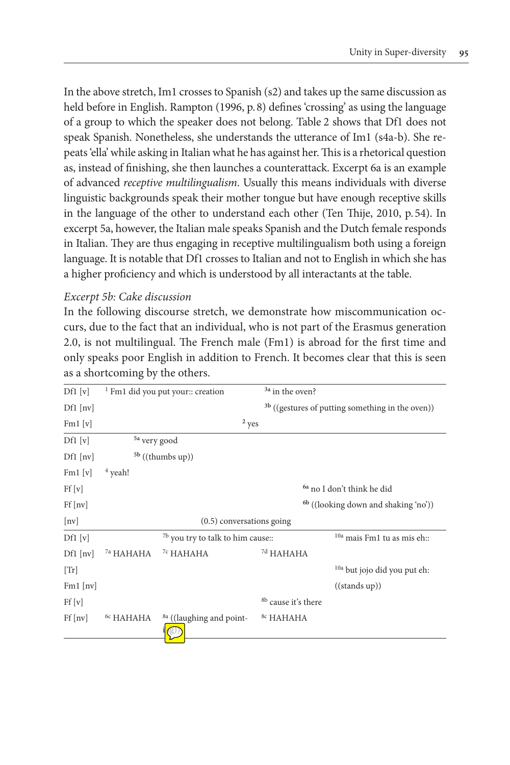In the above stretch, Im1 crosses to Spanish (s2) and takes up the same discussion as held before in English. Rampton (1996, p.8) defines 'crossing' as using the language of a group to which the speaker does not belong. Table 2 shows that Df1 does not speak Spanish. Nonetheless, she understands the utterance of Im1 (s4a-b). She repeats 'ella' while asking in Italian what he has against her. This is a rhetorical question as, instead of finishing, she then launches a counterattack. Excerpt 6a is an example of advanced *receptive multilingualism*. Usually this means individuals with diverse linguistic backgrounds speak their mother tongue but have enough receptive skills in the language of the other to understand each other (Ten Thije, 2010, p.54). In excerpt 5a, however, the Italian male speaks Spanish and the Dutch female responds in Italian. They are thus engaging in receptive multilingualism both using a foreign language. It is notable that Df1 crosses to Italian and not to English in which she has a higher proficiency and which is understood by all interactants at the table.

# *Excerpt 5b: Cake discussion*

In the following discourse stretch, we demonstrate how miscommunication occurs, due to the fact that an individual, who is not part of the Erasmus generation 2.0, is not multilingual. The French male (Fm1) is abroad for the first time and only speaks poor English in addition to French. It becomes clear that this is seen as a shortcoming by the others.

| Df1[v]             |                         | <sup>1</sup> Fm1 did you put your:: creation | <sup>3a</sup> in the oven?     |                                                             |
|--------------------|-------------------------|----------------------------------------------|--------------------------------|-------------------------------------------------------------|
| $Df1$ [nv]         |                         |                                              |                                | <sup>3b</sup> ((gestures of putting something in the oven)) |
| Fml[v]             |                         | $2$ yes                                      |                                |                                                             |
| Df1[v]             | <sup>5a</sup> very good |                                              |                                |                                                             |
| $Df1$ [nv]         |                         | $5b$ ((thumbs up))                           |                                |                                                             |
| Fml[v]             | $4$ yeah!               |                                              |                                |                                                             |
| Ff[v]              |                         |                                              |                                | <sup>6a</sup> no I don't think he did                       |
| $Ff$ [nv]          |                         |                                              |                                | $6\frac{1}{10}$ ((looking down and shaking 'no'))           |
| $\lceil nv \rceil$ |                         | $(0.5)$ conversations going                  |                                |                                                             |
| Df1[v]             |                         | <sup>7b</sup> you try to talk to him cause:: |                                | <sup>10a</sup> mais Fm1 tu as mis eh::                      |
| $Df1$ [nv]         | <sup>7a</sup> HAHAHA    | <sup>7c</sup> HAHAHA                         | <sup>7d</sup> HAHAHA           |                                                             |
| [Tr]               |                         |                                              |                                | <sup>10a</sup> but jojo did you put eh:                     |
| $Fml$ [nv]         |                         |                                              |                                | ((stands up))                                               |
| Ff[v]              |                         |                                              | <sup>8b</sup> cause it's there |                                                             |
| $Ff$ [nv]          | <sup>6c</sup> HAHAHA    | <sup>8a</sup> ((laughing and point-          | <sup>8c</sup> HAHAHA           |                                                             |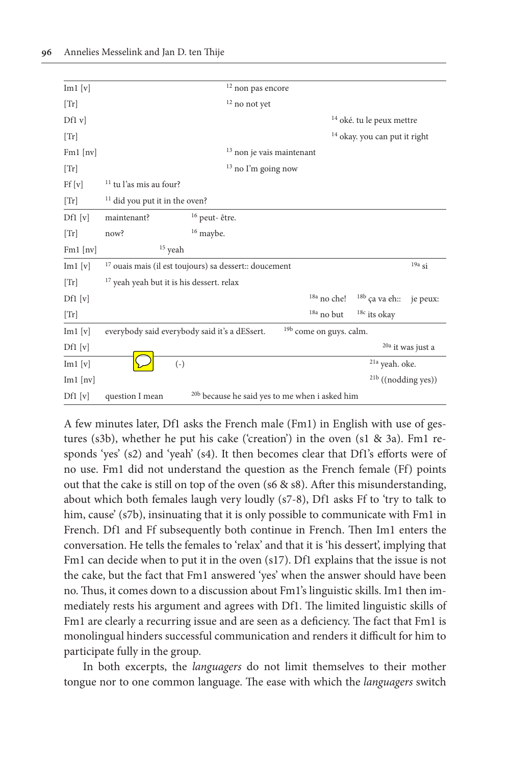| $\text{Im}1$ $\left[v\right]$ |                                                             |                                                           | $12$ non pas encore                |                                    |                                          |                              |
|-------------------------------|-------------------------------------------------------------|-----------------------------------------------------------|------------------------------------|------------------------------------|------------------------------------------|------------------------------|
| [Tr]                          |                                                             |                                                           | $12$ no not yet                    |                                    |                                          |                              |
| Df1 v                         |                                                             |                                                           |                                    |                                    | <sup>14</sup> oké. tu le peux mettre     |                              |
| [Tr]                          |                                                             |                                                           |                                    |                                    | <sup>14</sup> okay. you can put it right |                              |
| $Fm1$ [nv]                    |                                                             |                                                           | $^{\rm 13}$ non je vais maintenant |                                    |                                          |                              |
| [Tr]                          |                                                             |                                                           | $13$ no I'm going now              |                                    |                                          |                              |
| Ff[v]                         | <sup>11</sup> tu l'as mis au four?                          |                                                           |                                    |                                    |                                          |                              |
| [Tr]                          | $11$ did you put it in the oven?                            |                                                           |                                    |                                    |                                          |                              |
| Df1[v]                        | maintenant?                                                 | <sup>16</sup> peut-être.                                  |                                    |                                    |                                          |                              |
| [Tr]                          | now?                                                        | $16$ maybe.                                               |                                    |                                    |                                          |                              |
| $Fm1$ [nv]                    | $15$ yeah                                                   |                                                           |                                    |                                    |                                          |                              |
| $\text{Im}1$ $\left[v\right]$ | $^{17}$ ouais mais (il est toujours) sa dessert:: doucement |                                                           |                                    |                                    |                                          | $19a$ si                     |
| [Tr]                          | <sup>17</sup> yeah yeah but it is his dessert. relax        |                                                           |                                    |                                    |                                          |                              |
| $Df1$ [v]                     |                                                             |                                                           |                                    | $^{18a}$ no che!                   | $18b$ ça va eh::                         | je peux:                     |
| [Tr]                          |                                                             |                                                           |                                    | $18a$ no but                       | $18c$ its okay                           |                              |
| $\text{Im}1$ $\left[v\right]$ | everybody said everybody said it's a dESsert.               |                                                           |                                    | <sup>19b</sup> come on guys. calm. |                                          |                              |
| Df1[v]                        |                                                             |                                                           |                                    |                                    |                                          | <sup>20a</sup> it was just a |
| $\text{Im}1$ $\text{[v]}$     | $(-)$                                                       |                                                           |                                    |                                    | <sup>21a</sup> yeah. oke.                |                              |
| $Im1$ [nv]                    |                                                             |                                                           |                                    |                                    | $21b$ ((nodding yes))                    |                              |
| Df1[v]                        | question I mean                                             | <sup>20b</sup> because he said yes to me when i asked him |                                    |                                    |                                          |                              |

A few minutes later, Df1 asks the French male (Fm1) in English with use of gestures (s3b), whether he put his cake ('creation') in the oven (s1 & 3a). Fm1 responds 'yes' (s2) and 'yeah' (s4). It then becomes clear that Df1's efforts were of no use. Fm1 did not understand the question as the French female (Ff) points out that the cake is still on top of the oven (s6 & s8). After this misunderstanding, about which both females laugh very loudly (s7-8), Df1 asks Ff to 'try to talk to him, cause' (s7b), insinuating that it is only possible to communicate with Fm1 in French. Df1 and Ff subsequently both continue in French. Then Im1 enters the conversation. He tells the females to 'relax' and that it is 'his dessert', implying that Fm1 can decide when to put it in the oven (s17). Df1 explains that the issue is not the cake, but the fact that Fm1 answered 'yes' when the answer should have been no. Thus, it comes down to a discussion about Fm1's linguistic skills. Im1 then immediately rests his argument and agrees with Df1. The limited linguistic skills of Fm1 are clearly a recurring issue and are seen as a deficiency. The fact that Fm1 is monolingual hinders successful communication and renders it difficult for him to participate fully in the group.

In both excerpts, the *languagers* do not limit themselves to their mother tongue nor to one common language. The ease with which the *languagers* switch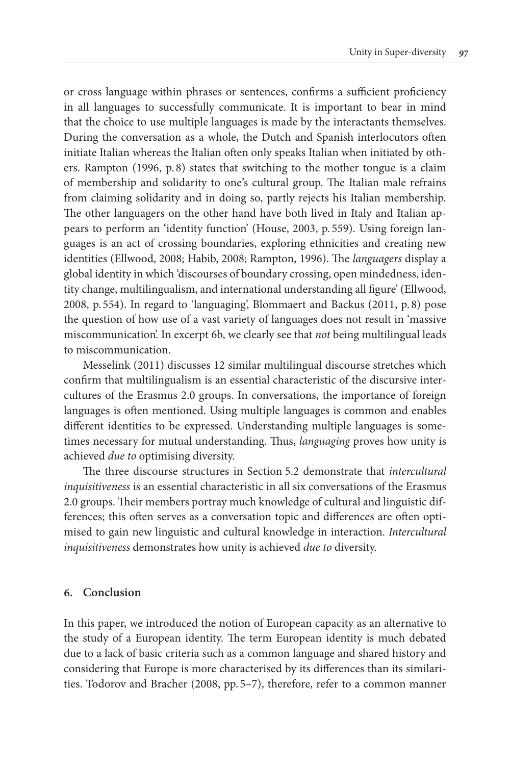or cross language within phrases or sentences, confirms a sufficient proficiency in all languages to successfully communicate. It is important to bear in mind that the choice to use multiple languages is made by the interactants themselves. During the conversation as a whole, the Dutch and Spanish interlocutors often initiate Italian whereas the Italian often only speaks Italian when initiated by others. Rampton (1996, p. 8) states that switching to the mother tongue is a claim of membership and solidarity to one's cultural group. The Italian male refrains from claiming solidarity and in doing so, partly rejects his Italian membership. The other languagers on the other hand have both lived in Italy and Italian appears to perform an 'identity function' (House, 2003, p. 559). Using foreign languages is an act of crossing boundaries, exploring ethnicities and creating new identities (Ellwood, 2008; Habib, 2008; Rampton, 1996). The *languagers* display a global identity in which 'discourses of boundary crossing, open mindedness, identity change, multilingualism, and international understanding all figure' (Ellwood, 2008, p. 554). In regard to 'languaging', Blommaert and Backus (2011, p. 8) pose the question of how use of a vast variety of languages does not result in 'massive miscommunication'. In excerpt 6b, we clearly see that *not* being multilingual leads to miscommunication.

Messelink (2011) discusses 12 similar multilingual discourse stretches which confirm that multilingualism is an essential characteristic of the discursive intercultures of the Erasmus 2.0 groups. In conversations, the importance of foreign languages is often mentioned. Using multiple languages is common and enables different identities to be expressed. Understanding multiple languages is sometimes necessary for mutual understanding. Thus, *languaging* proves how unity is achieved *due to* optimising diversity.

The three discourse structures in Section 5.2 demonstrate that *intercultural inquisitiveness* is an essential characteristic in all six conversations of the Erasmus 2.0 groups. Their members portray much knowledge of cultural and linguistic differences; this often serves as a conversation topic and differences are often optimised to gain new linguistic and cultural knowledge in interaction. *Intercultural inquisitiveness* demonstrates how unity is achieved *due to* diversity.

#### **6. Conclusion**

In this paper, we introduced the notion of European capacity as an alternative to the study of a European identity. The term European identity is much debated due to a lack of basic criteria such as a common language and shared history and considering that Europe is more characterised by its differences than its similarities. Todorov and Bracher (2008, pp. 5–7), therefore, refer to a common manner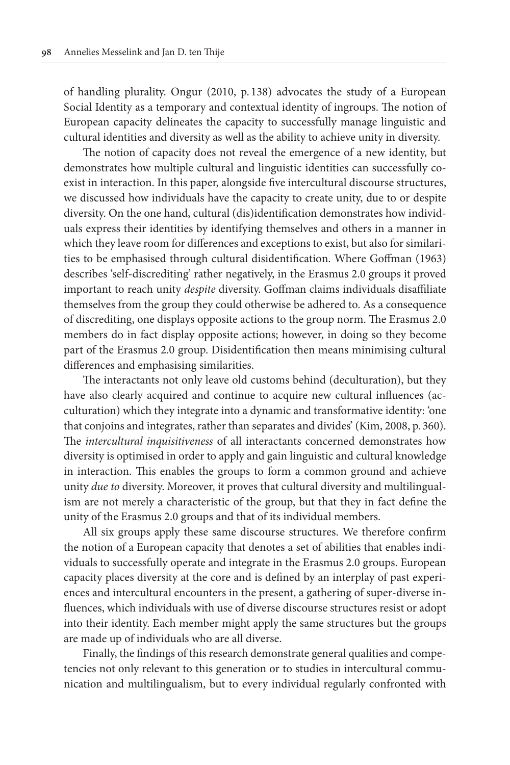of handling plurality. Ongur (2010, p. 138) advocates the study of a European Social Identity as a temporary and contextual identity of ingroups. The notion of European capacity delineates the capacity to successfully manage linguistic and cultural identities and diversity as well as the ability to achieve unity in diversity.

The notion of capacity does not reveal the emergence of a new identity, but demonstrates how multiple cultural and linguistic identities can successfully coexist in interaction. In this paper, alongside five intercultural discourse structures, we discussed how individuals have the capacity to create unity, due to or despite diversity. On the one hand, cultural (dis)identification demonstrates how individuals express their identities by identifying themselves and others in a manner in which they leave room for differences and exceptions to exist, but also for similarities to be emphasised through cultural disidentification. Where Goffman (1963) describes 'self-discrediting' rather negatively, in the Erasmus 2.0 groups it proved important to reach unity *despite* diversity. Goffman claims individuals disaffiliate themselves from the group they could otherwise be adhered to. As a consequence of discrediting, one displays opposite actions to the group norm. The Erasmus 2.0 members do in fact display opposite actions; however, in doing so they become part of the Erasmus 2.0 group. Disidentification then means minimising cultural differences and emphasising similarities.

The interactants not only leave old customs behind (deculturation), but they have also clearly acquired and continue to acquire new cultural influences (acculturation) which they integrate into a dynamic and transformative identity: 'one that conjoins and integrates, rather than separates and divides' (Kim, 2008, p. 360). The *intercultural inquisitiveness* of all interactants concerned demonstrates how diversity is optimised in order to apply and gain linguistic and cultural knowledge in interaction. This enables the groups to form a common ground and achieve unity *due to* diversity. Moreover, it proves that cultural diversity and multilingualism are not merely a characteristic of the group, but that they in fact define the unity of the Erasmus 2.0 groups and that of its individual members.

All six groups apply these same discourse structures. We therefore confirm the notion of a European capacity that denotes a set of abilities that enables individuals to successfully operate and integrate in the Erasmus 2.0 groups. European capacity places diversity at the core and is defined by an interplay of past experiences and intercultural encounters in the present, a gathering of super-diverse influences, which individuals with use of diverse discourse structures resist or adopt into their identity. Each member might apply the same structures but the groups are made up of individuals who are all diverse.

Finally, the findings of this research demonstrate general qualities and competencies not only relevant to this generation or to studies in intercultural communication and multilingualism, but to every individual regularly confronted with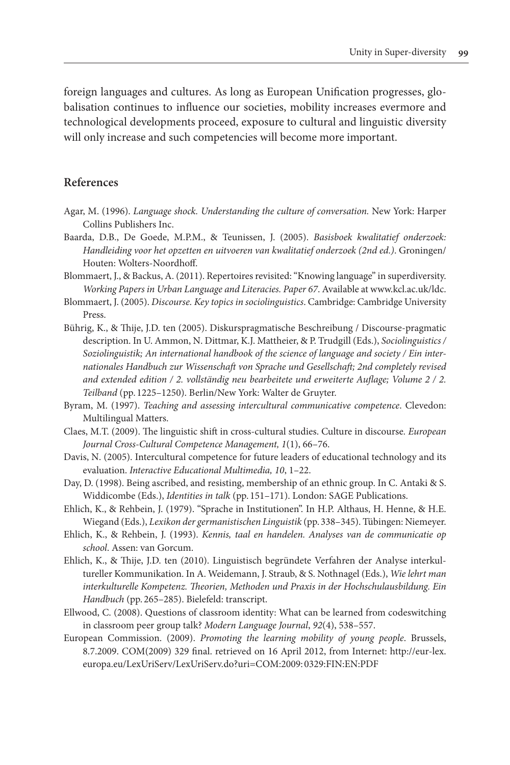foreign languages and cultures. As long as European Unification progresses, globalisation continues to influence our societies, mobility increases evermore and technological developments proceed, exposure to cultural and linguistic diversity will only increase and such competencies will become more important.

# **References**

- Agar, M. (1996). *Language shock. Understanding the culture of conversation.* New York: Harper Collins Publishers Inc.
- Baarda, D.B., De Goede, M.P.M., & Teunissen, J. (2005). *Basisboek kwalitatief onderzoek: Handleiding voor het opzetten en uitvoeren van kwalitatief onderzoek (2nd ed.)*. Groningen/ Houten: Wolters-Noordhoff.
- Blommaert, J., & Backus, A. (2011). Repertoires revisited: "Knowing language" in superdiversity. *Working Papers in Urban Language and Literacies. Paper 67*. Available at [www.kcl.ac.uk/ldc.](www.kcl.ac.uk/ldc)
- Blommaert, J. (2005). *Discourse. Key topics in sociolinguistics*. Cambridge: Cambridge University Press.
- Bührig, K., & Thije, J.D. ten (2005). Diskurspragmatische Beschreibung / Discourse-pragmatic description. In U. Ammon, N. Dittmar, K.J. Mattheier, & P. Trudgill (Eds.), *Sociolinguistics / Soziolinguistik; An international handbook of the science of language and society / Ein internationales Handbuch zur Wissenschaft von Sprache und Gesellschaft; 2nd completely revised and extended edition / 2. vollständig neu bearbeitete und erweiterte Auflage; Volume 2 / 2. Teilband* (pp. 1225–1250). Berlin/New York: Walter de Gruyter.
- Byram, M. (1997). *Teaching and assessing intercultural communicative competence*. Clevedon: Multilingual Matters.
- Claes, M.T. (2009). The linguistic shift in cross-cultural studies. Culture in discourse*. European Journal Cross-Cultural Competence Management, 1*(1), 66–76.
- Davis, N. (2005). Intercultural competence for future leaders of educational technology and its evaluation. *Interactive Educational Multimedia, 10*, 1–22.
- Day, D. (1998). Being ascribed, and resisting, membership of an ethnic group. In C. Antaki & S. Widdicombe (Eds.), *Identities in talk* (pp. 151–171). London: SAGE Publications.
- Ehlich, K., & Rehbein, J. (1979). "Sprache in Institutionen". In H.P. Althaus, H. Henne, & H.E. Wiegand (Eds.), *Lexikon der germanistischen Linguistik* (pp. 338–345). Tübingen: Niemeyer.
- Ehlich, K., & Rehbein, J. (1993). *Kennis, taal en handelen. Analyses van de communicatie op school*. Assen: van Gorcum.
- Ehlich, K., & Thije, J.D. ten (2010). Linguistisch begründete Verfahren der Analyse interkultureller Kommunikation. In A. Weidemann, J. Straub, & S. Nothnagel (Eds.), *Wie lehrt man interkulturelle Kompetenz. Theorien, Methoden und Praxis in der Hochschulausbildung. Ein Handbuch* (pp. 265–285). Bielefeld: transcript.
- Ellwood, C. (2008). Questions of classroom identity: What can be learned from codeswitching in classroom peer group talk? *Modern Language Journal*, *92*(4), 538–557.
- European Commission. (2009). *Promoting the learning mobility of young people*. Brussels, 8.7.2009. COM(2009) 329 final. retrieved on 16 April 2012, from Internet: [http://eur-lex.](http://eur-lex.europa.eu/LexUriServ/LexUriServ.do?uri=COM:2009) [europa.eu/LexUriServ/LexUriServ.do?uri=COM:2009](http://eur-lex.europa.eu/LexUriServ/LexUriServ.do?uri=COM:2009): 0329:FIN:EN:PDF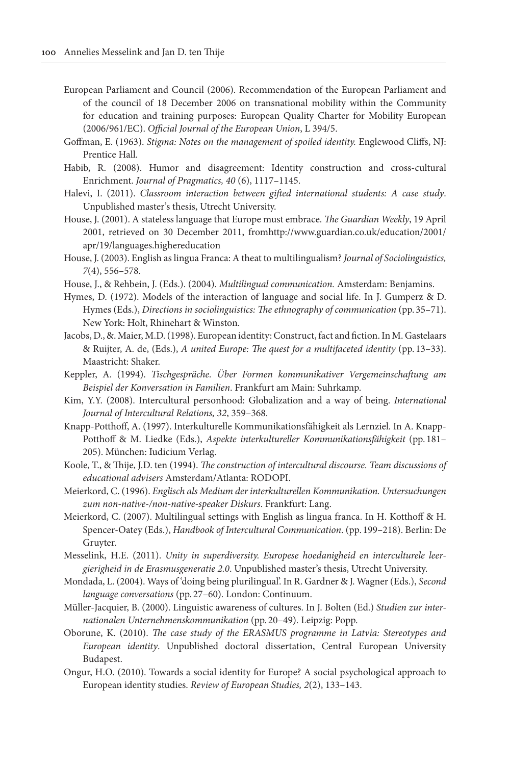- European Parliament and Council (2006). Recommendation of the European Parliament and of the council of 18 December 2006 on transnational mobility within the Community for education and training purposes: European Quality Charter for Mobility European (2006/961/EC). *Official Journal of the European Union*, L 394/5.
- Goffman, E. (1963). *Stigma: Notes on the management of spoiled identity.* Englewood Cliffs, NJ: Prentice Hall.
- Habib, R. (2008). Humor and disagreement: Identity construction and cross-cultural Enrichment. *Journal of Pragmatics, 40* (6), 1117–1145.
- Halevi, I. (2011). *Classroom interaction between gifted international students: A case study*. Unpublished master's thesis, Utrecht University.
- House, J. (2001). A stateless language that Europe must embrace. *The Guardian Weekly*, 19 April 2001, retrieved on 30 December 2011, fromhttp:/[/www.guardian.co.uk/education/2001/](www.guardian.co.uk/education/2001/apr/19/languages.highereducation) [apr/19/languages.highereducation](www.guardian.co.uk/education/2001/apr/19/languages.highereducation)
- House, J. (2003). English as lingua Franca: A theat to multilingualism? *Journal of Sociolinguistics, 7*(4), 556–578.
- House, J., & Rehbein, J. (Eds.). (2004). *Multilingual communication.* Amsterdam: Benjamins.
- Hymes, D. (1972). Models of the interaction of language and social life. In J. Gumperz & D. Hymes (Eds.), *Directions in sociolinguistics: The ethnography of communication* (pp. 35–71). New York: Holt, Rhinehart & Winston.
- Jacobs, D., &. Maier, M.D. (1998). European identity: Construct, fact and fiction. In M. Gastelaars & Ruijter, A. de, (Eds.), *A united Europe: The quest for a multifaceted identity* (pp. 13–33). Maastricht: Shaker.
- Keppler, A. (1994). *Tischgespräche. Über Formen kommunikativer Vergemeinschaftung am Beispiel der Konversation in Familien*. Frankfurt am Main: Suhrkamp.
- Kim, Y.Y. (2008). Intercultural personhood: Globalization and a way of being. *International Journal of Intercultural Relations, 32*, 359–368.
- Knapp-Potthoff, A. (1997). Interkulturelle Kommunikationsfähigkeit als Lernziel. In A. Knapp-Potthoff & M. Liedke (Eds.), *Aspekte interkultureller Kommunikationsfähigkeit* (pp. 181– 205). München: Iudicium Verlag.
- Koole, T., & Thije, J.D. ten (1994). *The construction of intercultural discourse. Team discussions of educational advisers* Amsterdam/Atlanta: RODOPI.
- Meierkord, C. (1996). *Englisch als Medium der interkulturellen Kommunikation. Untersuchungen zum non-native-/non-native-speaker Diskurs*. Frankfurt: Lang.
- Meierkord, C. (2007). Multilingual settings with English as lingua franca. In H. Kotthoff & H. Spencer-Oatey (Eds.), *Handbook of Intercultural Communication*. (pp. 199–218). Berlin: De Gruyter.
- Messelink, H.E. (2011). *Unity in superdiversity. Europese hoedanigheid en interculturele leergierigheid in de Erasmusgeneratie 2.0*. Unpublished master's thesis, Utrecht University.
- Mondada, L. (2004). Ways of 'doing being plurilingual'. In R. Gardner & J. Wagner (Eds.), *Second language conversations* (pp. 27–60). London: Continuum.
- Müller-Jacquier, B. (2000). Linguistic awareness of cultures. In J. Bolten (Ed.) *Studien zur internationalen Unternehmenskommunikation* (pp. 20–49). Leipzig: Popp.
- Oborune, K. (2010). *The case study of the ERASMUS programme in Latvia: Stereotypes and European identity*. Unpublished doctoral dissertation, Central European University Budapest.
- Ongur, H.O. (2010). Towards a social identity for Europe? A social psychological approach to European identity studies. *Review of European Studies, 2*(2), 133–143.